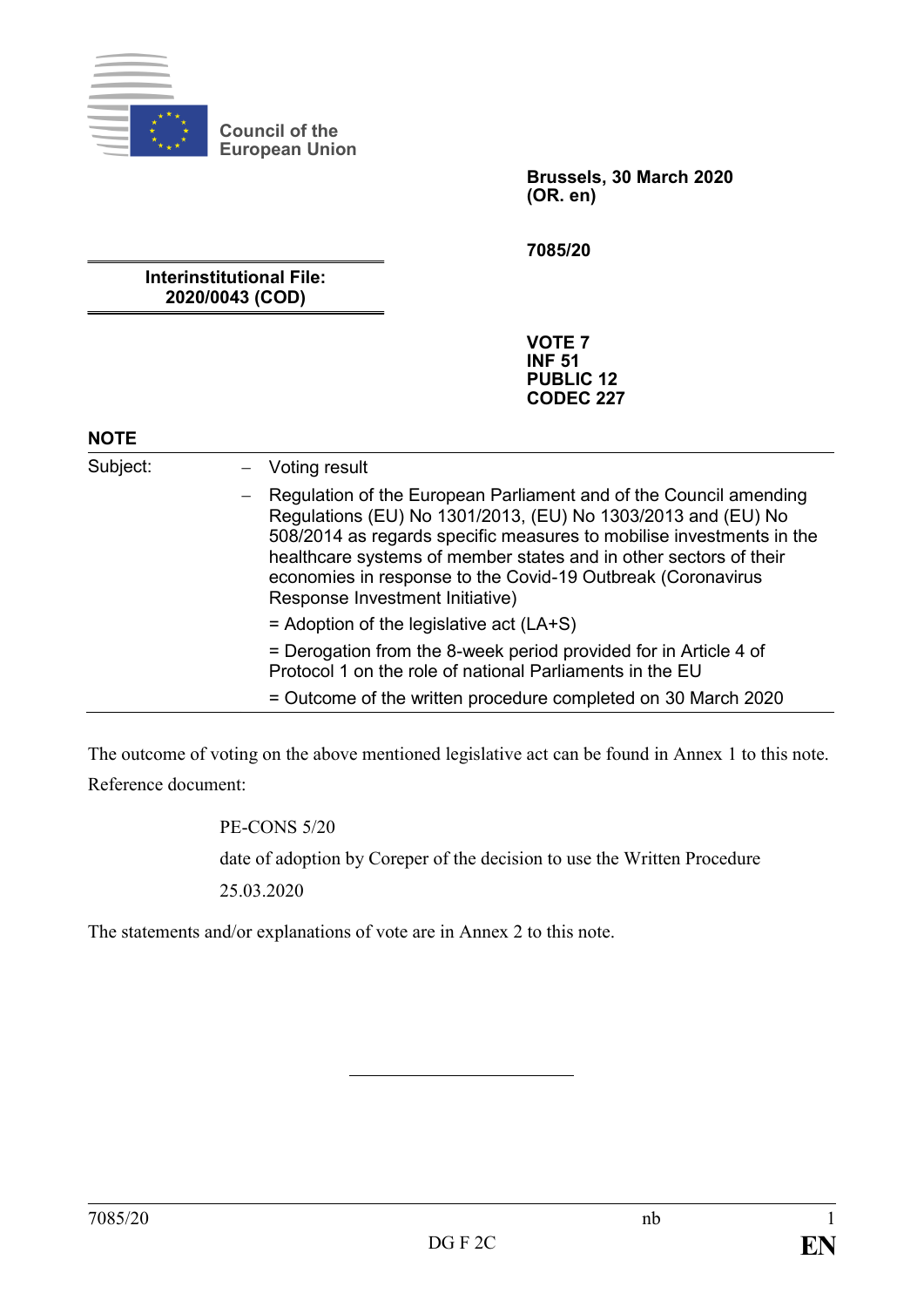

**Council of the European Union**

> **Brussels, 30 March 2020 (OR. en)**

**7085/20**

**Interinstitutional File: 2020/0043 (COD)**

> **VOTE 7 INF 51 PUBLIC 12 CODEC 227**

#### **NOTE**

Subject: – Voting result

- ‒ Regulation of the European Parliament and of the Council amending Regulations (EU) No 1301/2013, (EU) No 1303/2013 and (EU) No 508/2014 as regards specific measures to mobilise investments in the healthcare systems of member states and in other sectors of their economies in response to the Covid-19 Outbreak (Coronavirus Response Investment Initiative)
	- $=$  Adoption of the legislative act (LA+S)

= Derogation from the 8-week period provided for in Article 4 of Protocol 1 on the role of national Parliaments in the EU

= Outcome of the written procedure completed on 30 March 2020

The outcome of voting on the above mentioned legislative act can be found in Annex 1 to this note. Reference document:

PE-CONS 5/20

date of adoption by Coreper of the decision to use the Written Procedure

25.03.2020

The statements and/or explanations of vote are in Annex 2 to this note.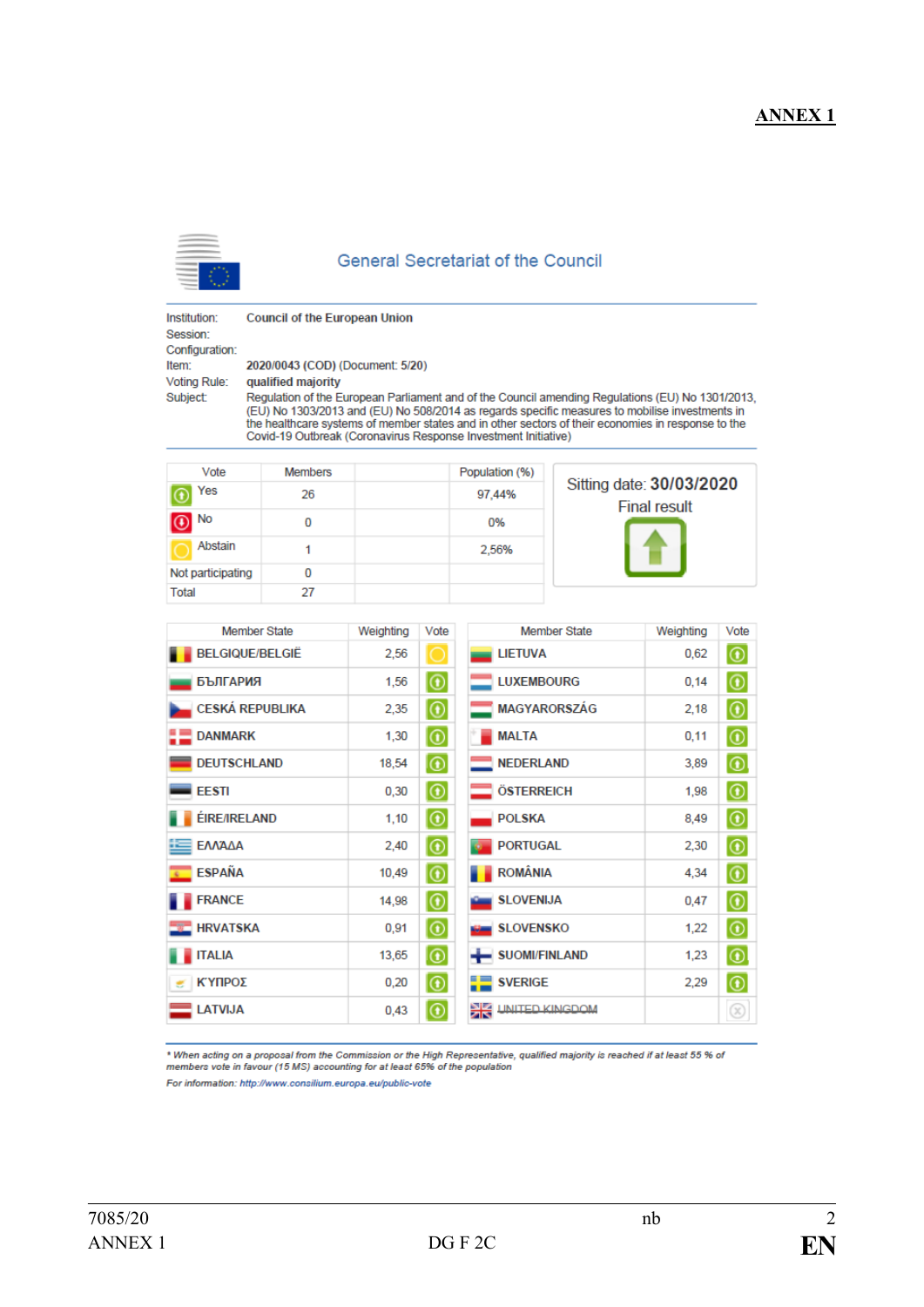## **ANNEX1**



#### **General Secretariat of the Council**

Institution: Session: Configuration: Item: Voting Rule: Subject:

**Council of the European Union** 

2020/0043 (COD) (Document: 5/20)

qualified majority

Regulation of the European Parliament and of the Council amending Regulations (EU) No 1301/2013, (EU) No 1303/2013 and (EU) No 508/2014 as regards specific measures to mobilise investments in the healthcare systems of member states and in other sectors of their economies in response to the Covid-19 Outbreak (Coronavirus Response Investment Initiative)

| Vote              | <b>Members</b> | Population (%) |                                                 |
|-------------------|----------------|----------------|-------------------------------------------------|
| Yes               | 26             | 97.44%         | Sitting date: 30/03/2020<br><b>Final result</b> |
| $\bigcirc$ No     | 0              | 0%             |                                                 |
| Abstain           |                | 2.56%          |                                                 |
| Not participating | 0              |                |                                                 |
| Total             | 27             |                |                                                 |

| <b>Member State</b>         | Weighting | Vote                 | <b>Member State</b>      | Weighting | Vote                                              |
|-----------------------------|-----------|----------------------|--------------------------|-----------|---------------------------------------------------|
| <b>BELGIQUE/BELGIË</b>      | 2,56      | 10                   | <b>LIETUVA</b>           | 0,62      | $\circledcirc$                                    |
| <b>БЪЛГАРИЯ</b>             | 1,56      | $ \circledcirc $     | <b>LUXEMBOURG</b>        | 0,14      | $\circledcirc$                                    |
| <b>CESKÁ REPUBLIKA</b>      | 2,35      | $  \circlearrowleft$ | <b>MAGYARORSZÁG</b>      | 2,18      | $\circledcirc$                                    |
| <b>DANMARK</b>              | 1,30      | $ \circlearrowright$ | <b>MALTA</b>             | 0,11      | $\circledcirc$                                    |
| <b>DEUTSCHLAND</b>          | 18,54     | $  \circledast  $    | <b>NEDERLAND</b>         | 3,89      | $\circledcirc$                                    |
| <b>EESTI</b>                | 0,30      | $ \circledcirc $     | <b>ÖSTERREICH</b>        | 1,98      | $\circledcirc$                                    |
| <b>ÉIRE/IRELAND</b>         | 1,10      | $  \circlearrowleft$ | <b>POLSKA</b>            | 8,49      | $\circledcirc$                                    |
| ΕΛΛΆΔΑ<br>œ                 | 2,40      | $  \circlearrowleft$ | <b>PORTUGAL</b>          | 2,30      | $\circledcirc$                                    |
| <b>ESPAÑA</b>               | 10,49     | $  \circledast$      | ROMÂNIA                  | 4,34      | $\circledcirc$                                    |
| <b>FRANCE</b>               | 14,98     | $  \text{\O}  $      | SLOVENIJA                | 0,47      | $  \textcolor{red}{\textcircled{\scriptsize{0}}}$ |
| <b>ENGINEERING HRVATSKA</b> | 0,91      | $ \circledcirc $     | SLOVENSKO                | 1,22      | $\circledcirc$                                    |
| <b>ITALIA</b>               | 13,65     | $  \circledast  $    | SUOMI/FINLAND            | 1,23      | $\circledcirc$                                    |
| ΚΎΠΡΟΣ<br>z                 | 0,20      | $ \circledast $      | $\blacksquare$ SVERIGE   | 2,29      | $\circledcirc$                                    |
| <b>LATVIJA</b>              | 0,43      | $  \circledast$      | <b>AR UNITED KINGDOM</b> |           | $\circledR$                                       |

\* When acting on a proposal from the Commission or the High Representative, qualified majority is reached if at least 55 % of<br>members vote in favour (15 MS) accounting for at least 65% of the population For information: http://www.consilium.europa.eu/public-vote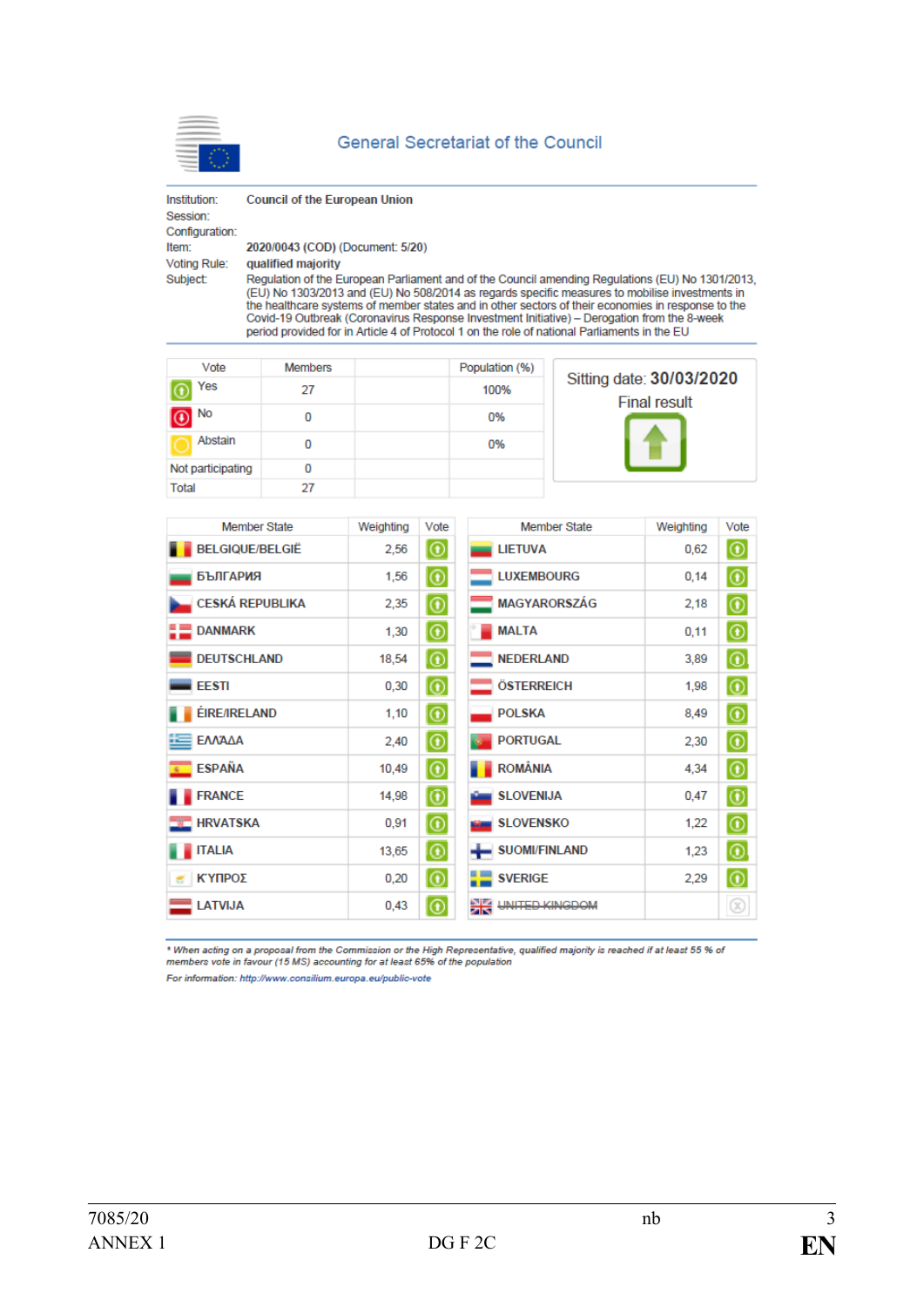

| Institution:<br>Session:<br>Configuration: | <b>Council of the European Union</b>                                                                                                                                                                                                                                                                                                                                                                                                                                                                    |
|--------------------------------------------|---------------------------------------------------------------------------------------------------------------------------------------------------------------------------------------------------------------------------------------------------------------------------------------------------------------------------------------------------------------------------------------------------------------------------------------------------------------------------------------------------------|
| Item:                                      | 2020/0043 (COD) (Document: 5/20)                                                                                                                                                                                                                                                                                                                                                                                                                                                                        |
| <b>Voting Rule:</b>                        | qualified majority                                                                                                                                                                                                                                                                                                                                                                                                                                                                                      |
| <b>Subject:</b>                            | Regulation of the European Parliament and of the Council amending Regulations (EU) No 1301/2013.<br>(EU) No 1303/2013 and (EU) No 508/2014 as regards specific measures to mobilise investments in<br>the healthcare systems of member states and in other sectors of their economies in response to the<br>Covid-19 Outbreak (Coronavirus Response Investment Initiative) – Derogation from the 8-week<br>period provided for in Article 4 of Protocol 1 on the role of national Parliaments in the EU |

| Vote               | <b>Members</b> | Population (%) |                                                 |
|--------------------|----------------|----------------|-------------------------------------------------|
| Yes                | 27             | 100%           | Sitting date: 30/03/2020<br><b>Final result</b> |
| $\boxed{\odot}$ No | 0              | 0%             |                                                 |
| Abstain            | 0              | 0%             |                                                 |
| Not participating  | 0              |                |                                                 |
| Total              | 27             |                |                                                 |

| <b>Member State</b>     | Weighting | Vote                         | <b>Member State</b>        | Weighting | Vote                                                |
|-------------------------|-----------|------------------------------|----------------------------|-----------|-----------------------------------------------------|
| <b>BELGIQUE/BELGIË</b>  | 2,56      | $  \circledast$              | <b>LIETUVA</b>             | 0,62      | $  \text{\O}$                                       |
| <b>БЪЛГАРИЯ</b>         | 1,56      | $ \Theta $                   | <b>LUXEMBOURG</b>          | 0,14      | $  \text{\O}$                                       |
| <b>CESKÁ REPUBLIKA</b>  | 2,35      | $  \text{\O}$                | MAGYARORSZÁG               | 2,18      | $  \textcolor{black}{\textcircled{\scriptsize{0}}}$ |
| <b>DANMARK</b>          | 1,30      | $  \circledast$              | <b>MALTA</b>               | 0,11      | $  \textcolor{black}{\textcircled{\scriptsize{1}}}$ |
| <b>DEUTSCHLAND</b>      | 18,54     | $\circ$                      | <b>NEDERLAND</b>           | 3.89      | $^{\copyright}$                                     |
| <b>EESTI</b>            | 0,30      | $ \circledcirc $             | ÖSTERREICH                 | 1,98      | $\circledcirc$                                      |
| <b>ÉIRE/IRELAND</b>     | 1,10      | $  \circledast$              | <b>POLSKA</b>              | 8,49      | $  \text{\O}$                                       |
| ΕΛΛΆΔΑ                  | 2,40      | $\overline{\mathbf{\Theta}}$ | <b>PORTUGAL</b>            | 2,30      | $  \circledast$                                     |
| <b>ESPAÑA</b><br>$\sim$ | 10,49     | $  \circledast$              | ROMÂNIA                    | 4,34      | $  \textcolor{black}{\textcircled{\scriptsize{1}}}$ |
| <b>FRANCE</b>           | 14,98     | $  \circledcirc$             | SLOVENIJA                  | 0,47      | $\circledcirc$                                      |
| <b>THE HRVATSKA</b>     | 0,91      | $  \mathbf{\Theta}  $        | <b>SLOVENSKO</b>           | 1,22      | $  \mathbb{O}$                                      |
| <b>ITALIA</b>           | 13,65     | $  \circledast$              | SUOMI/FINLAND              | 1,23      | $  \circledcirc$                                    |
| ΚΎΠΡΟΣ<br>×             | 0,20      | $  \circledcirc$             | <b>SVERIGE</b>             | 2,29      | $\circledcirc$                                      |
| <b>LATVIJA</b>          | 0,43      | $  \circledast$              | Ж<br><b>UNITED KINGDOM</b> |           | ⊛                                                   |

\* When acting on a proposal from the Commission or the High Representative, qualified majority is reached if at least 55 % of<br>members vote in favour (15 MS) accounting for at least 65% of the population

For information: http://www.consilium.europa.eu/public-vote